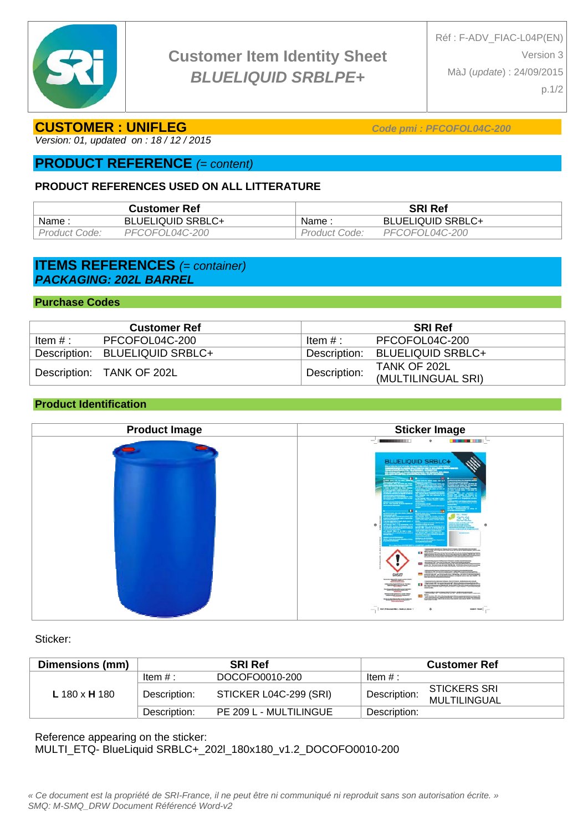

# **Customer Item Identity Sheet**  *BLUELIQUID SRBLPE+*

## **CUSTOMER : UNIFLEG** *Code pmi : PFCOFOL04C-200*

*Version: 01, updated on : 18 / 12 / 2015* 

# **PRODUCT REFERENCE** *(= content)*

## **PRODUCT REFERENCES USED ON ALL LITTERATURE**

| Customer Ref  |                          | SRI Ref       |                          |  |
|---------------|--------------------------|---------------|--------------------------|--|
| Name :        | <b>BLUELIQUID SRBLC+</b> | : Name        | <b>BLUELIQUID SRBLC+</b> |  |
| Product Code: | PFCOFOL04C-200           | Product Code: | PFCOFOL04C-200           |  |

## **ITEMS REFERENCES** *(= container) PACKAGING: 202L BARREL*

### **Purchase Codes**

| <b>Customer Ref</b> |                                | <b>SRI Ref</b> |                                |  |
|---------------------|--------------------------------|----------------|--------------------------------|--|
| Item $#:$           | PFCOFOL04C-200                 | ∵ Item # :     | PFCOFOL04C-200                 |  |
|                     | Description: BLUELIQUID SRBLC+ |                | Description: BLUELIQUID SRBLC+ |  |
|                     | Description: TANK OF 202L      | Description:   | TANK OF 202L                   |  |
|                     |                                |                | (MULTILINGUAL SRI)             |  |

## **Product Identification**

| <b>Product Image</b> | <b>Sticker Image</b>                                                                                                                                                                                                                                                                                                                                                                                                                                                                                                                                                                                                                                                                                                                                                                                                                                                  |
|----------------------|-----------------------------------------------------------------------------------------------------------------------------------------------------------------------------------------------------------------------------------------------------------------------------------------------------------------------------------------------------------------------------------------------------------------------------------------------------------------------------------------------------------------------------------------------------------------------------------------------------------------------------------------------------------------------------------------------------------------------------------------------------------------------------------------------------------------------------------------------------------------------|
|                      | <b>THE REAL PROPERTY OF</b><br><b>CONTRACTOR</b><br>and 1<br>۰<br>BLUELIQUID SRBLC+<br><b>Marian</b><br>$\mathbf{r} = \mathbf{r}$<br>202<br>ERS S<br>۰<br>$\sim$<br><b>STANDARD</b><br>$\frac{1}{\sqrt{2\pi}\left(\frac{1}{2}\right)^{2} \left(\frac{1}{2}\right)^{2} \left(\frac{1}{2}\right)^{2} \left(\frac{1}{2}\right)^{2} \left(\frac{1}{2}\right)^{2} \left(\frac{1}{2}\right)^{2} \left(\frac{1}{2}\right)^{2} \left(\frac{1}{2}\right)^{2} \left(\frac{1}{2}\right)^{2} \left(\frac{1}{2}\right)^{2} \left(\frac{1}{2}\right)^{2} \left(\frac{1}{2}\right)^{2} \left(\frac{1}{2}\right)^{2} \left(\frac{1}{2}\right)^{2} \left(\frac{1}{2}\right)^{2$<br><b>And they determine heavy provided from your</b><br>$\alpha$ . The contract of $\alpha$<br>dent den mei erwennen betragen in den eine Reinen einen<br><b>CONTRACTOR PORTABLE CONTRACTOR</b><br>ïЗ |
|                      | $\bullet$ . We are the set of $\mathcal{O}_\mathcal{A}$<br>GHS07<br><b>The Second Contract of the Second Contract of the Second Contract of the Second Contract of the Second Contract of the Second Contract of the Second Contract of the Second Contract of the Second Contract of the Second Con</b><br>TANKARINA PAYAK SEMA SAITUNG ASBARASINA PAS<br>$\alpha$ , and a second $\alpha$<br><b>TANGEROUS</b><br>Ħ<br>111101111111<br>۰<br>sees then                                                                                                                                                                                                                                                                                                                                                                                                                |

Sticker:

| Dimensions (mm) | <b>SRI Ref</b> |                        | <b>Customer Ref</b> |                                            |  |
|-----------------|----------------|------------------------|---------------------|--------------------------------------------|--|
| L 180 x H 180   | Item $#:$      | DOCOFO0010-200         | Item $#$ :          |                                            |  |
|                 | Description:   | STICKER L04C-299 (SRI) | Description:        | <b>STICKERS SRI</b><br><b>MULTILINGUAL</b> |  |
|                 | Description:   | PE 209 L - MULTILINGUE | Description:        |                                            |  |

Reference appearing on the sticker: MULTI\_ETQ- BlueLiquid SRBLC+\_202l\_180x180\_v1.2\_DOCOFO0010-200